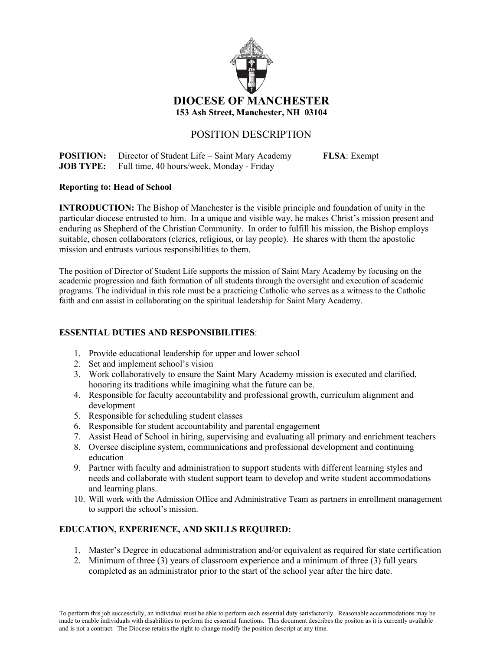

# POSITION DESCRIPTION

**POSITION:** Director of Student Life – Saint Mary Academy **FLSA**: Exempt **JOB TYPE:** Full time, 40 hours/week, Monday - Friday

#### **Reporting to: Head of School**

**INTRODUCTION:** The Bishop of Manchester is the visible principle and foundation of unity in the particular diocese entrusted to him. In a unique and visible way, he makes Christ's mission present and enduring as Shepherd of the Christian Community. In order to fulfill his mission, the Bishop employs suitable, chosen collaborators (clerics, religious, or lay people). He shares with them the apostolic mission and entrusts various responsibilities to them.

The position of Director of Student Life supports the mission of Saint Mary Academy by focusing on the academic progression and faith formation of all students through the oversight and execution of academic programs. The individual in this role must be a practicing Catholic who serves as a witness to the Catholic faith and can assist in collaborating on the spiritual leadership for Saint Mary Academy.

## **ESSENTIAL DUTIES AND RESPONSIBILITIES**:

- 1. Provide educational leadership for upper and lower school
- 2. Set and implement school's vision
- 3. Work collaboratively to ensure the Saint Mary Academy mission is executed and clarified, honoring its traditions while imagining what the future can be.
- 4. Responsible for faculty accountability and professional growth, curriculum alignment and development
- 5. Responsible for scheduling student classes
- 6. Responsible for student accountability and parental engagement
- 7. Assist Head of School in hiring, supervising and evaluating all primary and enrichment teachers
- 8. Oversee discipline system, communications and professional development and continuing education
- 9. Partner with faculty and administration to support students with different learning styles and needs and collaborate with student support team to develop and write student accommodations and learning plans.
- 10. Will work with the Admission Office and Administrative Team as partners in enrollment management to support the school's mission.

## **EDUCATION, EXPERIENCE, AND SKILLS REQUIRED:**

- 1. Master's Degree in educational administration and/or equivalent as required for state certification
- 2. Minimum of three (3) years of classroom experience and a minimum of three (3) full years completed as an administrator prior to the start of the school year after the hire date.